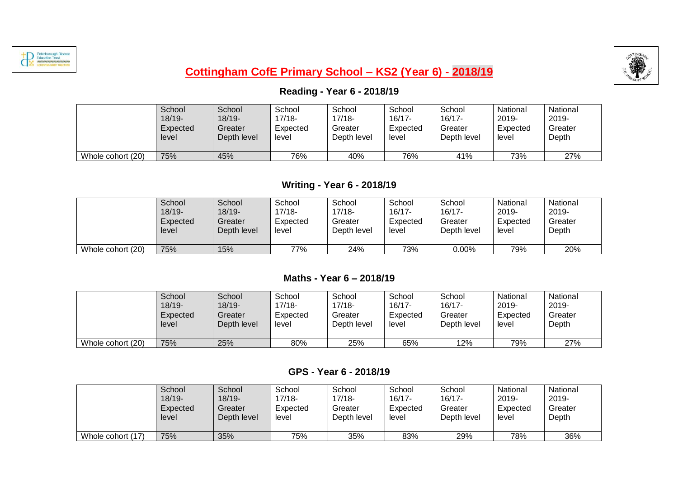



# **Cottingham CofE Primary School – KS2 (Year 6) - 2018/19**

## **Reading - Year 6 - 2018/19**

|                   | School    | School      | School   | School      | School    | School      | National | National |
|-------------------|-----------|-------------|----------|-------------|-----------|-------------|----------|----------|
|                   | $18/19 -$ | $18/19 -$   | 17/18-   | $17/18 -$   | $16/17 -$ | $16/17 -$   | 2019-    | 2019-    |
|                   | Expected  | Greater     | Expected | Greater     | Expected  | Greater     | Expected | Greater  |
|                   | level     | Depth level | level    | Depth level | level     | Depth level | level    | Depth    |
| Whole cohort (20) | 75%       | 45%         | 76%      | 40%         | 76%       | 41%         | 73%      | 27%      |

## **Writing - Year 6 - 2018/19**

|                   | School    | School      | School   | School      | School    | School      | National | National |
|-------------------|-----------|-------------|----------|-------------|-----------|-------------|----------|----------|
|                   | $18/19 -$ | $18/19 -$   | 17/18-   | $17/18-$    | $16/17 -$ | $16/17 -$   | 2019-    | 2019-    |
|                   | Expected  | Greater     | Expected | Greater     | Expected  | Greater     | Expected | Greater  |
|                   | level     | Depth level | level    | Depth level | level     | Depth level | level    | Depth    |
| Whole cohort (20) | 75%       | 15%         | 77%      | 24%         | 73%       | $0.00\%$    | 79%      | 20%      |

#### **Maths - Year 6 – 2018/19**

|                   | School    | School      | School   | School      | School    | School      | National | National |
|-------------------|-----------|-------------|----------|-------------|-----------|-------------|----------|----------|
|                   | $18/19 -$ | 18/19-      | $17/18-$ | 17/18-      | $16/17 -$ | 16/17-      | 2019-    | 2019-    |
|                   | Expected  | Greater     | Expected | Greater     | Expected  | Greater     | Expected | Greater  |
|                   | level     | Depth level | level    | Depth level | level     | Depth level | level    | Depth    |
| Whole cohort (20) | 75%       | 25%         | 80%      | 25%         | 65%       | '2%         | 79%      | 27%      |

#### **GPS - Year 6 - 2018/19**

|                   | School    | School      | School   | School      | School    | School      | National | National |
|-------------------|-----------|-------------|----------|-------------|-----------|-------------|----------|----------|
|                   | $18/19 -$ | $18/19 -$   | 17/18-   | $17/18 -$   | $16/17 -$ | $16/17 -$   | 2019-    | 2019-    |
|                   | Expected  | Greater     | Expected | Greater     | Expected  | Greater     | Expected | Greater  |
|                   | level     | Depth level | level    | Depth level | level     | Depth level | level    | Depth    |
| Whole cohort (17) | 75%       | 35%         | 75%      | 35%         | 83%       | 29%         | 78%      | 36%      |